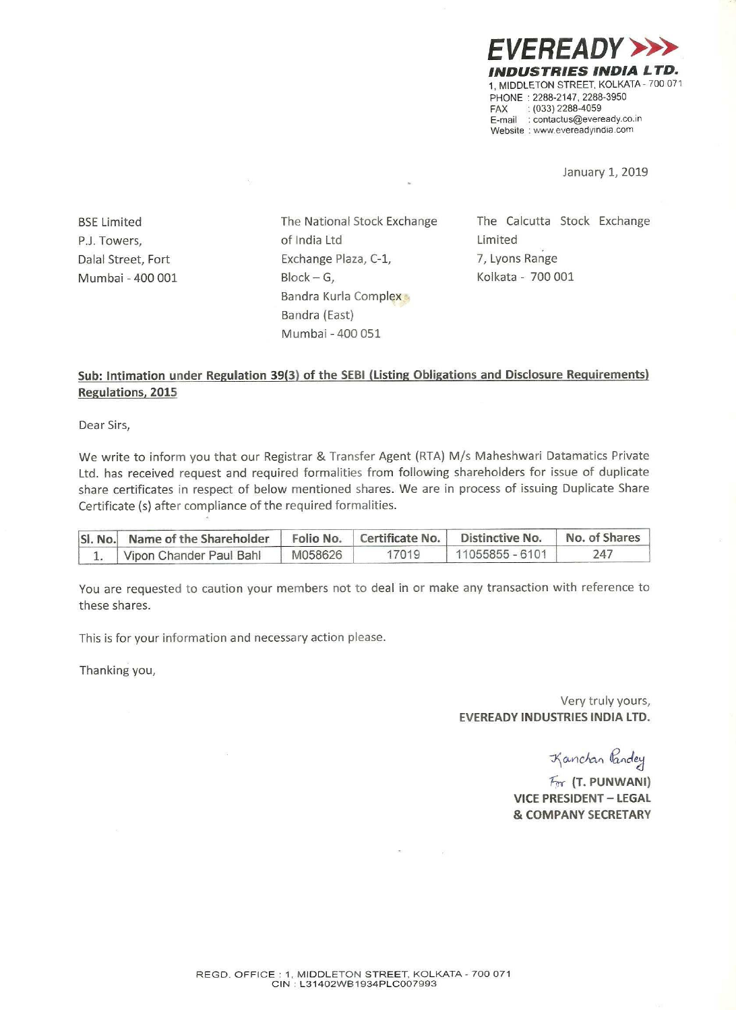EVEREADY >>> **INDUSTRIES INDIA** 1, MIDDLETON STREET, KOLKATA - 700 071 PHONE : 2288-2147. 2288-3950  $FAX$  : (033) 2288-4059 E-mail : contactus@eveready.co.ir Website : www.evereadyindia.com

January 1, 2019

Mumbai - 400 001

P.J. Towers, The Contract of India Ltd Contract Limited Dalal Street, Fort **Exchange Plaza, C-1,** 7, Lyons Range  $Block - G$ , G, Kolkata - 700 001 Bandra Kurla Complex Bandra (East) Mumbal ~400 051

BSE Limited The National Stock Exchange The Calcutta Stock Exchange

## Sub: Intimation under Regulation 39(3) of the SEBI (Listing Obligations and Disclosure Requirements) Regulations, 2015

Dear Sirs,

We write to inform you that our Registrar & Transfer Agent (RTA) M/s Maheshwari Datamatics Private Ltd. has received request and required formalities from following shareholders for issue of duplicate share certificates in respect of below mentioned shares. We are in process of issuing Duplicate Share Certificate (5) after compliance of the required formalities.

| SI. No. Name of the Shareholder   Folio No.   Certificate No.   Distinctive No. |         |       |                   | No. of Shares |
|---------------------------------------------------------------------------------|---------|-------|-------------------|---------------|
| Vipon Chander Paul Bahl                                                         | M058626 | 17019 | $11055855 - 6101$ | 747           |

You are requested to caution your members not to deal in or make any transaction with reference to these shares.

This is for your information and necessary action please.

ä.

Thanking you,

Very truly yours, EVEREADV INDUSTRIES INDIA LTD.

Kanchan Pandey

 $F_{rr}$  (T. PUNWANI) VICE PRESIDENT— LEGAL & COMPANY SECRETARY